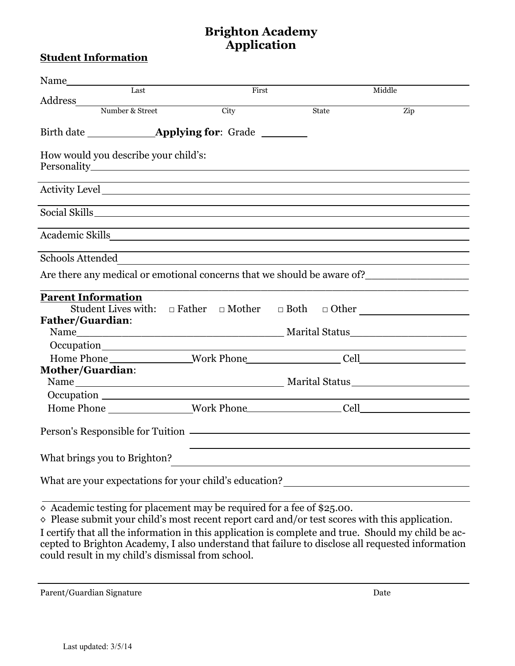# **Brighton Academy Application**

#### **Student Information**

| Last                                                                    |                                                                                                                                                                                                           | First |       | Middle                                            |
|-------------------------------------------------------------------------|-----------------------------------------------------------------------------------------------------------------------------------------------------------------------------------------------------------|-------|-------|---------------------------------------------------|
| Address                                                                 | Number & Street<br>City                                                                                                                                                                                   |       | State | Zip                                               |
|                                                                         |                                                                                                                                                                                                           |       |       |                                                   |
|                                                                         |                                                                                                                                                                                                           |       |       |                                                   |
| How would you describe your child's:                                    | and the control of the control of the control of the control of the control of the control of the control of the                                                                                          |       |       |                                                   |
|                                                                         |                                                                                                                                                                                                           |       |       |                                                   |
|                                                                         |                                                                                                                                                                                                           |       |       |                                                   |
|                                                                         |                                                                                                                                                                                                           |       |       |                                                   |
| Schools Attended                                                        | ,我们也不会有什么。""我们的人,我们也不会有什么?""我们的人,我们也不会有什么?""我们的人,我们也不会有什么?""我们的人,我们也不会有什么?""我们的人<br><u> 1980 - Johann Barn, mars ann an t-Amhain Aonaichte ann an t-Aonaichte ann an t-Aonaichte ann an t-Aonaichte a</u> |       |       |                                                   |
| Are there any medical or emotional concerns that we should be aware of? |                                                                                                                                                                                                           |       |       |                                                   |
| <b>Parent Information</b><br><b>Father/Guardian:</b>                    |                                                                                                                                                                                                           |       |       |                                                   |
|                                                                         |                                                                                                                                                                                                           |       |       | <u> 1989 - Johann Barn, mars et al. (b. 1989)</u> |
|                                                                         |                                                                                                                                                                                                           |       |       |                                                   |
| <b>Mother/Guardian:</b>                                                 |                                                                                                                                                                                                           |       |       |                                                   |
|                                                                         |                                                                                                                                                                                                           |       |       |                                                   |
| Home Phone Work Phone Cell Cell                                         |                                                                                                                                                                                                           |       |       |                                                   |
|                                                                         |                                                                                                                                                                                                           |       |       |                                                   |
| What brings you to Brighton?                                            |                                                                                                                                                                                                           |       |       |                                                   |
|                                                                         |                                                                                                                                                                                                           |       |       |                                                   |

 $\overline{\diamond}$  Academic testing for placement may be required for a fee of \$25.00.

◊ Please submit your child's most recent report card and/or test scores with this application. I certify that all the information in this application is complete and true. Should my child be accepted to Brighton Academy, I also understand that failure to disclose all requested information could result in my child's dismissal from school.

Parent/Guardian Signature Date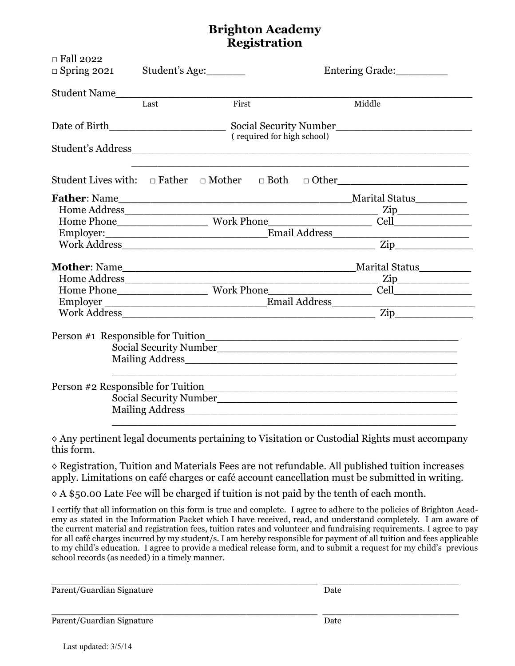# **Brighton Academy Registration**

| $\Box$ Fall 2022<br>$\Box$ Spring 2021 | Student's Age:             | Entering Grade:        |                                                                                                                                                                                                                                                                                                                                                                                                                                                                                 |  |  |  |  |
|----------------------------------------|----------------------------|------------------------|---------------------------------------------------------------------------------------------------------------------------------------------------------------------------------------------------------------------------------------------------------------------------------------------------------------------------------------------------------------------------------------------------------------------------------------------------------------------------------|--|--|--|--|
|                                        | Student Name<br>Last       | First                  | Middle                                                                                                                                                                                                                                                                                                                                                                                                                                                                          |  |  |  |  |
|                                        | (required for high school) |                        |                                                                                                                                                                                                                                                                                                                                                                                                                                                                                 |  |  |  |  |
|                                        |                            |                        |                                                                                                                                                                                                                                                                                                                                                                                                                                                                                 |  |  |  |  |
|                                        |                            |                        | Student Lives with: $\Box$ Father $\Box$ Mother $\Box$ Both $\Box$ Other                                                                                                                                                                                                                                                                                                                                                                                                        |  |  |  |  |
|                                        |                            |                        |                                                                                                                                                                                                                                                                                                                                                                                                                                                                                 |  |  |  |  |
|                                        |                            |                        |                                                                                                                                                                                                                                                                                                                                                                                                                                                                                 |  |  |  |  |
|                                        |                            |                        |                                                                                                                                                                                                                                                                                                                                                                                                                                                                                 |  |  |  |  |
|                                        |                            |                        |                                                                                                                                                                                                                                                                                                                                                                                                                                                                                 |  |  |  |  |
|                                        |                            |                        | Home Phone<br>Employer:<br>Email Address<br>Email Address<br>Zip                                                                                                                                                                                                                                                                                                                                                                                                                |  |  |  |  |
|                                        |                            |                        |                                                                                                                                                                                                                                                                                                                                                                                                                                                                                 |  |  |  |  |
|                                        | Home Address               |                        | $\overline{\phantom{a}}$ $\overline{\phantom{a}}$ $\overline{\phantom{a}}$ $\overline{\phantom{a}}$ $\overline{\phantom{a}}$ $\overline{\phantom{a}}$ $\overline{\phantom{a}}$ $\overline{\phantom{a}}$ $\overline{\phantom{a}}$ $\overline{\phantom{a}}$ $\overline{\phantom{a}}$ $\overline{\phantom{a}}$ $\overline{\phantom{a}}$ $\overline{\phantom{a}}$ $\overline{\phantom{a}}$ $\overline{\phantom{a}}$ $\overline{\phantom{a}}$ $\overline{\phantom{a}}$ $\overline{\$ |  |  |  |  |
|                                        |                            |                        |                                                                                                                                                                                                                                                                                                                                                                                                                                                                                 |  |  |  |  |
|                                        |                            |                        |                                                                                                                                                                                                                                                                                                                                                                                                                                                                                 |  |  |  |  |
|                                        |                            |                        | Work Address                                                                                                                                                                                                                                                                                                                                                                                                                                                                    |  |  |  |  |
|                                        |                            | Social Security Number |                                                                                                                                                                                                                                                                                                                                                                                                                                                                                 |  |  |  |  |
|                                        |                            |                        |                                                                                                                                                                                                                                                                                                                                                                                                                                                                                 |  |  |  |  |
| Social Security Number                 |                            |                        |                                                                                                                                                                                                                                                                                                                                                                                                                                                                                 |  |  |  |  |
|                                        |                            |                        |                                                                                                                                                                                                                                                                                                                                                                                                                                                                                 |  |  |  |  |
|                                        |                            |                        |                                                                                                                                                                                                                                                                                                                                                                                                                                                                                 |  |  |  |  |

◊ Any pertinent legal documents pertaining to Visitation or Custodial Rights must accompany this form.

◊ Registration, Tuition and Materials Fees are not refundable. All published tuition increases apply. Limitations on café charges or café account cancellation must be submitted in writing.

 $\Diamond A$  \$50.00 Late Fee will be charged if tuition is not paid by the tenth of each month.

I certify that all information on this form is true and complete. I agree to adhere to the policies of Brighton Academy as stated in the Information Packet which I have received, read, and understand completely. I am aware of the current material and registration fees, tuition rates and volunteer and fundraising requirements. I agree to pay for all café charges incurred by my student/s. I am hereby responsible for payment of all tuition and fees applicable to my child's education. I agree to provide a medical release form, and to submit a request for my child's previous school records (as needed) in a timely manner.

\_\_\_\_\_\_\_\_\_\_\_\_\_\_\_\_\_\_\_\_\_\_\_\_\_\_\_\_\_\_\_\_\_\_\_\_\_\_\_\_\_ \_\_\_\_\_\_\_\_\_\_\_\_\_\_\_\_\_\_\_\_\_

\_\_\_\_\_\_\_\_\_\_\_\_\_\_\_\_\_\_\_\_\_\_\_\_\_\_\_\_\_\_\_\_\_\_\_\_\_\_\_\_\_ \_\_\_\_\_\_\_\_\_\_\_\_\_\_\_\_\_\_\_\_\_ Parent/Guardian Signature Date

Parent/Guardian Signature Date

Last updated: 3/5/14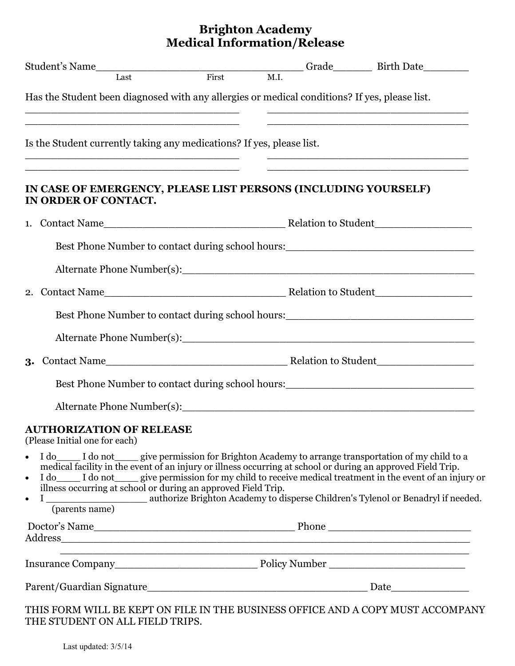## **Brighton Academy Medical Information/Release**

| Has the Student been diagnosed with any allergies or medical conditions? If yes, please list.                                                                                                                                                                                                                                                                                                                                        |  |  |                                                                                   |  |  |
|--------------------------------------------------------------------------------------------------------------------------------------------------------------------------------------------------------------------------------------------------------------------------------------------------------------------------------------------------------------------------------------------------------------------------------------|--|--|-----------------------------------------------------------------------------------|--|--|
|                                                                                                                                                                                                                                                                                                                                                                                                                                      |  |  |                                                                                   |  |  |
| Is the Student currently taking any medications? If yes, please list.                                                                                                                                                                                                                                                                                                                                                                |  |  |                                                                                   |  |  |
| IN CASE OF EMERGENCY, PLEASE LIST PERSONS (INCLUDING YOURSELF)<br>IN ORDER OF CONTACT.                                                                                                                                                                                                                                                                                                                                               |  |  |                                                                                   |  |  |
|                                                                                                                                                                                                                                                                                                                                                                                                                                      |  |  |                                                                                   |  |  |
|                                                                                                                                                                                                                                                                                                                                                                                                                                      |  |  | Best Phone Number to contact during school hours:                                 |  |  |
|                                                                                                                                                                                                                                                                                                                                                                                                                                      |  |  |                                                                                   |  |  |
|                                                                                                                                                                                                                                                                                                                                                                                                                                      |  |  |                                                                                   |  |  |
|                                                                                                                                                                                                                                                                                                                                                                                                                                      |  |  | Best Phone Number to contact during school hours:_______________________________  |  |  |
|                                                                                                                                                                                                                                                                                                                                                                                                                                      |  |  |                                                                                   |  |  |
|                                                                                                                                                                                                                                                                                                                                                                                                                                      |  |  |                                                                                   |  |  |
|                                                                                                                                                                                                                                                                                                                                                                                                                                      |  |  | Best Phone Number to contact during school hours:________________________________ |  |  |
|                                                                                                                                                                                                                                                                                                                                                                                                                                      |  |  |                                                                                   |  |  |
| <b>AUTHORIZATION OF RELEASE</b><br>(Please Initial one for each)                                                                                                                                                                                                                                                                                                                                                                     |  |  |                                                                                   |  |  |
| I do not give permission for Brighton Academy to arrange transportation of my child to a<br>$\bullet$<br>medical facility in the event of an injury or illness occurring at school or during an approved Field Trip.<br>I do not give permission for my child to receive medical treatment in the event of an injury or<br>$\bullet$<br>illness occurring at school or during an approved Field Trip.<br>$\bullet$<br>(parents name) |  |  |                                                                                   |  |  |
|                                                                                                                                                                                                                                                                                                                                                                                                                                      |  |  |                                                                                   |  |  |
|                                                                                                                                                                                                                                                                                                                                                                                                                                      |  |  |                                                                                   |  |  |
|                                                                                                                                                                                                                                                                                                                                                                                                                                      |  |  |                                                                                   |  |  |
| $\alpha$ population to propose out by primiting $\alpha$ of $\alpha$ and $\alpha$ and $\alpha$ and $\alpha$ and $\alpha$ and $\alpha$                                                                                                                                                                                                                                                                                                |  |  |                                                                                   |  |  |

THIS FORM WILL BE KEPT ON FILE IN THE BUSINESS OFFICE AND A COPY MUST ACCOMPANY THE STUDENT ON ALL FIELD TRIPS.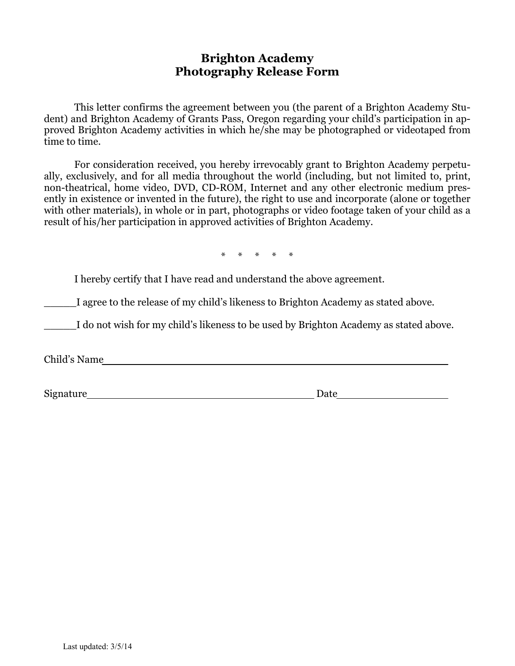#### **Brighton Academy Photography Release Form**

 This letter confirms the agreement between you (the parent of a Brighton Academy Student) and Brighton Academy of Grants Pass, Oregon regarding your child's participation in approved Brighton Academy activities in which he/she may be photographed or videotaped from time to time.

 For consideration received, you hereby irrevocably grant to Brighton Academy perpetually, exclusively, and for all media throughout the world (including, but not limited to, print, non-theatrical, home video, DVD, CD-ROM, Internet and any other electronic medium presently in existence or invented in the future), the right to use and incorporate (alone or together with other materials), in whole or in part, photographs or video footage taken of your child as a result of his/her participation in approved activities of Brighton Academy.

\* \* \* \* \*

I hereby certify that I have read and understand the above agreement.

I agree to the release of my child's likeness to Brighton Academy as stated above.

I do not wish for my child's likeness to be used by Brighton Academy as stated above.

Child's Name

Signature Date Date